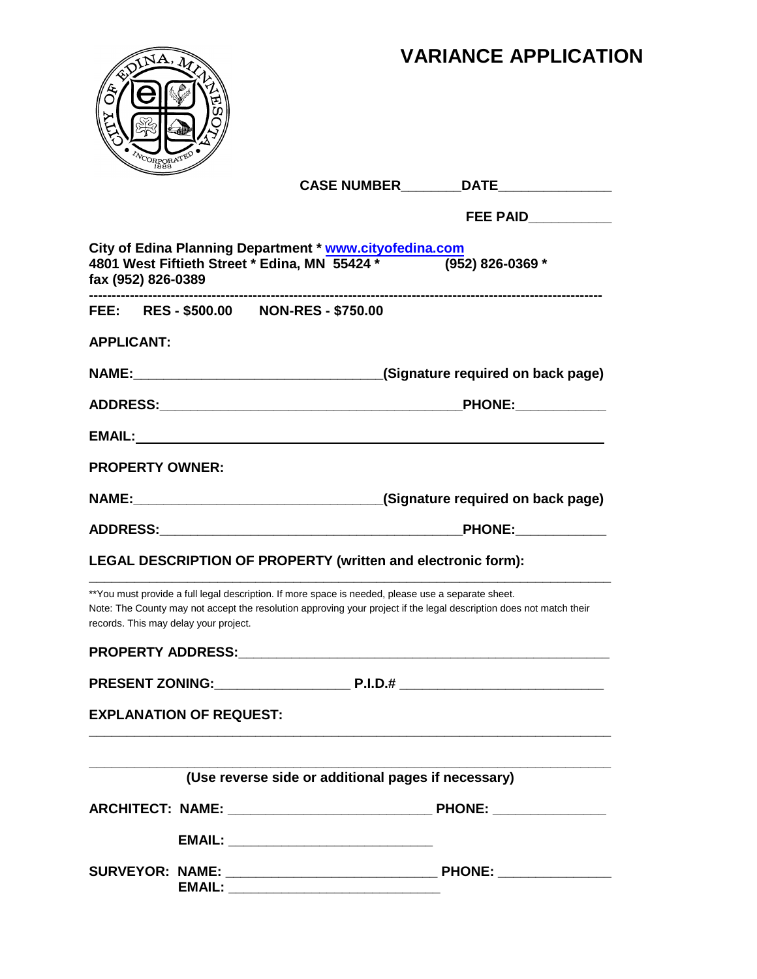# **VARIANCE APPLICATION**



|                                                                                                                                             | <b>CASE NUMBER</b>                                  | DATE                                                                                                                |
|---------------------------------------------------------------------------------------------------------------------------------------------|-----------------------------------------------------|---------------------------------------------------------------------------------------------------------------------|
|                                                                                                                                             |                                                     | FEE PAID____________                                                                                                |
| City of Edina Planning Department * www.cityofedina.com<br>4801 West Fiftieth Street * Edina, MN 55424 *<br>fax (952) 826-0389              |                                                     | (952) 826-0369 *                                                                                                    |
| FEE: RES-\$500.00 NON-RES-\$750.00                                                                                                          |                                                     |                                                                                                                     |
| <b>APPLICANT:</b>                                                                                                                           |                                                     |                                                                                                                     |
|                                                                                                                                             |                                                     | (Signature required on back page)                                                                                   |
|                                                                                                                                             |                                                     |                                                                                                                     |
|                                                                                                                                             |                                                     |                                                                                                                     |
| <b>PROPERTY OWNER:</b>                                                                                                                      |                                                     |                                                                                                                     |
|                                                                                                                                             |                                                     |                                                                                                                     |
|                                                                                                                                             |                                                     | <b>PHONE:</b>                                                                                                       |
| <b>LEGAL DESCRIPTION OF PROPERTY (written and electronic form):</b>                                                                         |                                                     |                                                                                                                     |
| **You must provide a full legal description. If more space is needed, please use a separate sheet.<br>records. This may delay your project. |                                                     | Note: The County may not accept the resolution approving your project if the legal description does not match their |
|                                                                                                                                             |                                                     |                                                                                                                     |
|                                                                                                                                             |                                                     |                                                                                                                     |
| <b>EXPLANATION OF REQUEST:</b>                                                                                                              |                                                     |                                                                                                                     |
|                                                                                                                                             |                                                     |                                                                                                                     |
|                                                                                                                                             | (Use reverse side or additional pages if necessary) |                                                                                                                     |
|                                                                                                                                             |                                                     |                                                                                                                     |
|                                                                                                                                             |                                                     |                                                                                                                     |
|                                                                                                                                             |                                                     |                                                                                                                     |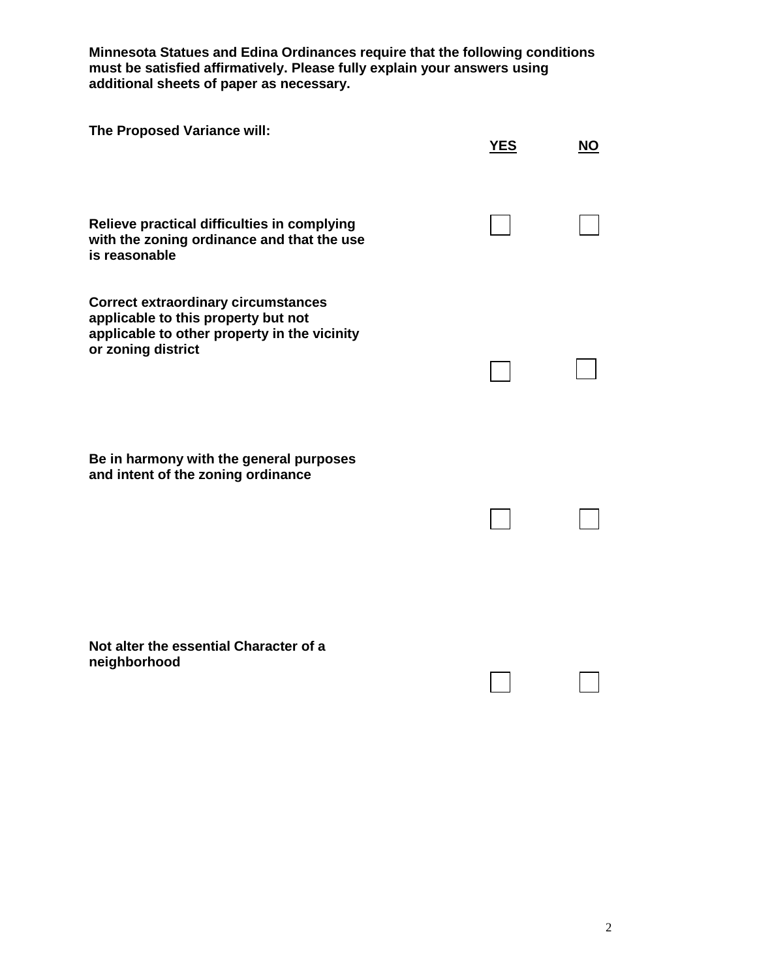**Minnesota Statues and Edina Ordinances require that the following conditions must be satisfied affirmatively. Please fully explain your answers using additional sheets of paper as necessary.** 

| The Proposed Variance will:                                                                                                                             | <b>YES</b> | <b>NO</b> |
|---------------------------------------------------------------------------------------------------------------------------------------------------------|------------|-----------|
| Relieve practical difficulties in complying<br>with the zoning ordinance and that the use<br>is reasonable                                              |            |           |
| <b>Correct extraordinary circumstances</b><br>applicable to this property but not<br>applicable to other property in the vicinity<br>or zoning district |            |           |
| Be in harmony with the general purposes<br>and intent of the zoning ordinance                                                                           |            |           |
| Not alter the essential Character of a<br>neighborhood                                                                                                  |            |           |

┓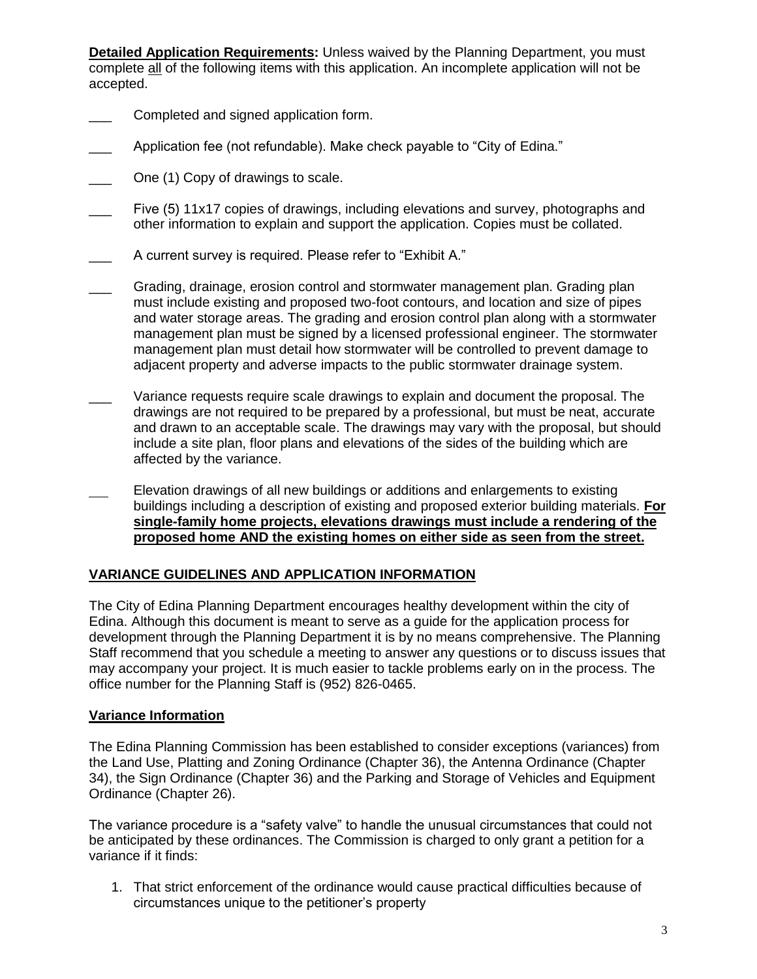**Detailed Application Requirements:** Unless waived by the Planning Department, you must complete all of the following items with this application. An incomplete application will not be accepted.

- $\overline{\phantom{a}}$ Completed and signed application form.
- $\overline{\phantom{a}}$ Application fee (not refundable). Make check payable to "City of Edina."
- $\overline{\phantom{a}}$ One (1) Copy of drawings to scale.
- $\overline{\phantom{a}}$ Five (5) 11x17 copies of drawings, including elevations and survey, photographs and other information to explain and support the application. Copies must be collated.
- $\overline{\phantom{a}}$ A current survey is required. Please refer to "Exhibit A."
- $\overline{\phantom{a}}$ Grading, drainage, erosion control and stormwater management plan. Grading plan must include existing and proposed two-foot contours, and location and size of pipes and water storage areas. The grading and erosion control plan along with a stormwater management plan must be signed by a licensed professional engineer. The stormwater management plan must detail how stormwater will be controlled to prevent damage to adjacent property and adverse impacts to the public stormwater drainage system.
- $\overline{\phantom{a}}$ Variance requests require scale drawings to explain and document the proposal. The drawings are not required to be prepared by a professional, but must be neat, accurate and drawn to an acceptable scale. The drawings may vary with the proposal, but should include a site plan, floor plans and elevations of the sides of the building which are affected by the variance.
- Elevation drawings of all new buildings or additions and enlargements to existing buildings including a description of existing and proposed exterior building materials. **For single-family home projects, elevations drawings must include a rendering of the proposed home AND the existing homes on either side as seen from the street.**

## **VARIANCE GUIDELINES AND APPLICATION INFORMATION**

The City of Edina Planning Department encourages healthy development within the city of Edina. Although this document is meant to serve as a guide for the application process for development through the Planning Department it is by no means comprehensive. The Planning Staff recommend that you schedule a meeting to answer any questions or to discuss issues that may accompany your project. It is much easier to tackle problems early on in the process. The office number for the Planning Staff is (952) 826-0465.

#### **Variance Information**

The Edina Planning Commission has been established to consider exceptions (variances) from the Land Use, Platting and Zoning Ordinance (Chapter 36), the Antenna Ordinance (Chapter 34), the Sign Ordinance (Chapter 36) and the Parking and Storage of Vehicles and Equipment Ordinance (Chapter 26).

The variance procedure is a "safety valve" to handle the unusual circumstances that could not be anticipated by these ordinances. The Commission is charged to only grant a petition for a variance if it finds:

1. That strict enforcement of the ordinance would cause practical difficulties because of circumstances unique to the petitioner's property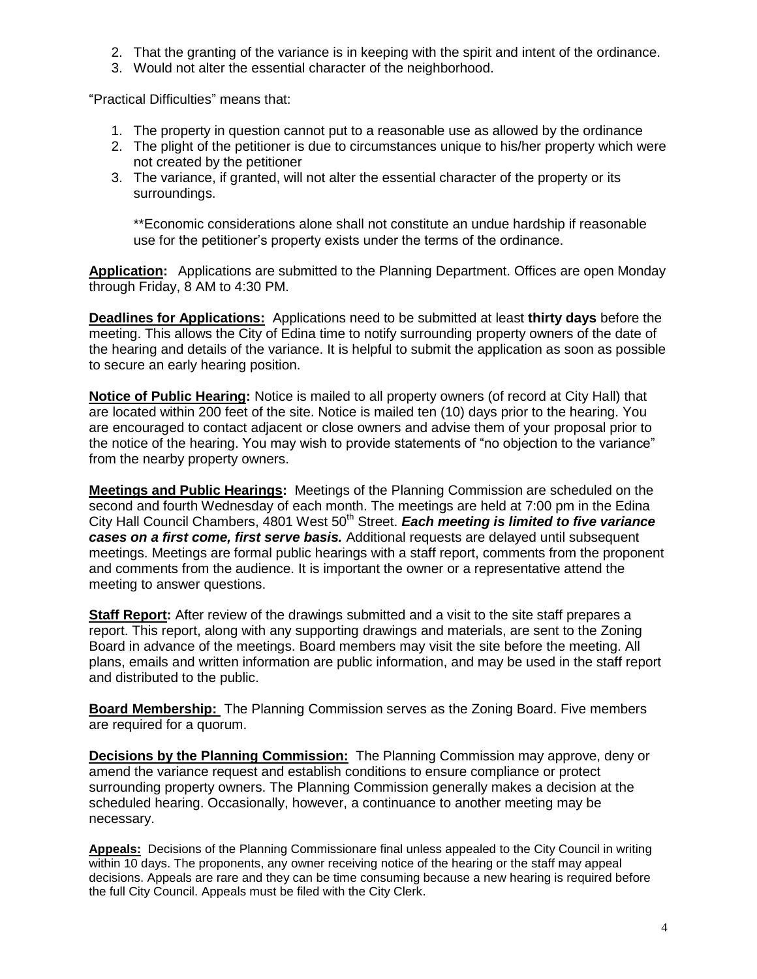- 2. That the granting of the variance is in keeping with the spirit and intent of the ordinance.
- 3. Would not alter the essential character of the neighborhood.

"Practical Difficulties" means that:

- 1. The property in question cannot put to a reasonable use as allowed by the ordinance
- 2. The plight of the petitioner is due to circumstances unique to his/her property which were not created by the petitioner
- 3. The variance, if granted, will not alter the essential character of the property or its surroundings.

\*\*Economic considerations alone shall not constitute an undue hardship if reasonable use for the petitioner's property exists under the terms of the ordinance.

**Application:** Applications are submitted to the Planning Department. Offices are open Monday through Friday, 8 AM to 4:30 PM.

**Deadlines for Applications:** Applications need to be submitted at least **thirty days** before the meeting. This allows the City of Edina time to notify surrounding property owners of the date of the hearing and details of the variance. It is helpful to submit the application as soon as possible to secure an early hearing position.

**Notice of Public Hearing:** Notice is mailed to all property owners (of record at City Hall) that are located within 200 feet of the site. Notice is mailed ten (10) days prior to the hearing. You are encouraged to contact adjacent or close owners and advise them of your proposal prior to the notice of the hearing. You may wish to provide statements of "no objection to the variance" from the nearby property owners.

**Meetings and Public Hearings:** Meetings of the Planning Commission are scheduled on the second and fourth Wednesday of each month. The meetings are held at 7:00 pm in the Edina City Hall Council Chambers, 4801 West 50<sup>th</sup> Street. *Each meeting is limited to five variance cases on a first come, first serve basis.* Additional requests are delayed until subsequent meetings. Meetings are formal public hearings with a staff report, comments from the proponent and comments from the audience. It is important the owner or a representative attend the meeting to answer questions.

**Staff Report:** After review of the drawings submitted and a visit to the site staff prepares a report. This report, along with any supporting drawings and materials, are sent to the Zoning Board in advance of the meetings. Board members may visit the site before the meeting. All plans, emails and written information are public information, and may be used in the staff report and distributed to the public.

**Board Membership:** The Planning Commission serves as the Zoning Board. Five members are required for a quorum.

**Decisions by the Planning Commission:** The Planning Commission may approve, deny or amend the variance request and establish conditions to ensure compliance or protect surrounding property owners. The Planning Commission generally makes a decision at the scheduled hearing. Occasionally, however, a continuance to another meeting may be necessary.

**Appeals:** Decisions of the Planning Commissionare final unless appealed to the City Council in writing within 10 days. The proponents, any owner receiving notice of the hearing or the staff may appeal decisions. Appeals are rare and they can be time consuming because a new hearing is required before the full City Council. Appeals must be filed with the City Clerk.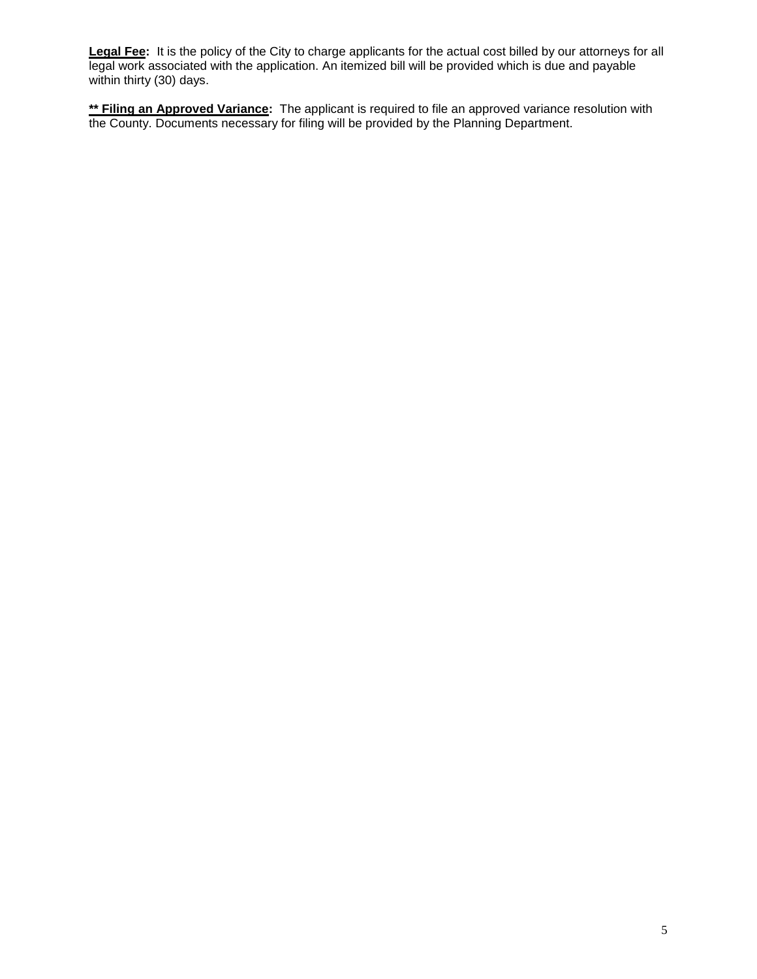**Legal Fee:** It is the policy of the City to charge applicants for the actual cost billed by our attorneys for all legal work associated with the application. An itemized bill will be provided which is due and payable within thirty (30) days.

**\*\* Filing an Approved Variance:** The applicant is required to file an approved variance resolution with the County. Documents necessary for filing will be provided by the Planning Department.